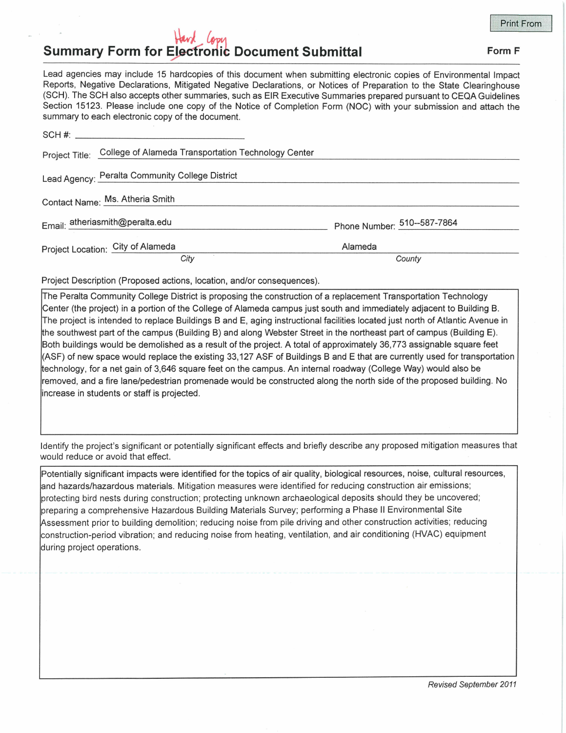## Hard Con **Summary Form for Electronic Document Submittal Form F Form F Form F**

**Print From** 

Lead agencies may include 15 hardcopies of this document when submitting electronic copies of Environmental Impact Reports, Negative Declarations, Mitigated Negative Declarations, or Notices of Preparation to the State Clearinghouse (SCH). The SCH also accepts other summaries, such as EIR Executive Summaries prepared pursuant to CEQA Guidelines Section 15123. Please include one copy of the Notice of Completion Form (NOC) with your submission and attach the summary to each electronic copy of the document.

| Project Title: College of Alameda Transportation Technology Center |                             |
|--------------------------------------------------------------------|-----------------------------|
| Lead Agency: Peralta Community College District                    |                             |
| Contact Name: Ms. Atheria Smith                                    |                             |
| Email: atheriasmith@peralta.edu                                    | Phone Number: 510--587-7864 |
| Project Location: City of Alameda                                  | Alameda                     |
| City                                                               | County                      |

Project Description (Proposed actions, location, and/or consequences).

The Peralta Community College District is proposing the construction of a replacement Transportation Technology Center (the project) in a portion of the College of Alameda campus just south and immediately adjacent to Building B. The project is intended to replace Buildings Band E, aging instructional facilities located just north of Atlantic Avenue in the southwest part of the campus (Building B) and along Webster Street in the northeast part of campus (Building E). Both buildings would be demolished as a result of the project. A total of approximately 36,773 assignable square feet (ASF) of new space would replace the existing 33, 127 ASF of Buildings B and E that are currently used for transportation technology, for a net gain of 3,646 square feet on the campus. An internal roadway (College Way) would also be removed, and a fire lane/pedestrian promenade would be constructed along the north side of the proposed building. No increase in students or staff is projected.

Identify the project's significant or potentially significant effects and briefly describe any proposed mitigation measures that would reduce or avoid that effect.

Potentially significant impacts were identified for the topics of air quality, biological resources, noise, cultural resources, and hazards/hazardous materials. Mitigation measures were identified for reducing construction air emissions; protecting bird nests during construction; protecting unknown archaeological deposits should they be uncovered; preparing a comprehensive Hazardous Building Materials Survey; performing a Phase II Environmental Site Assessment prior to building demolition; reducing noise from pile driving and other construction activities; reducing construction-period vibration; and reducing noise from heating, ventilation, and air conditioning (HVAC) equipment during project operations.